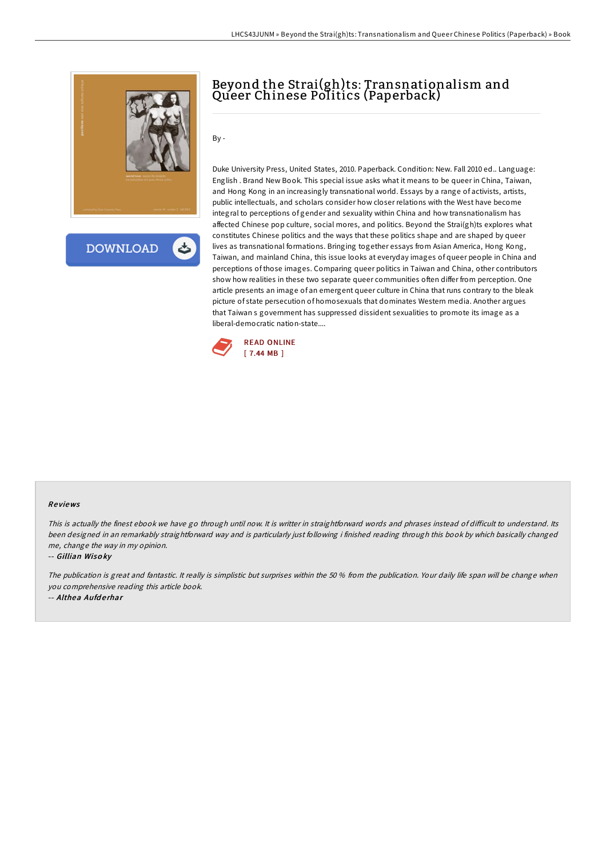

**DOWNLOAD** 

## Beyond the Strai(gh)ts: Transnationalism and Queer Chinese Politics (Paperback)

By -

Duke University Press, United States, 2010. Paperback. Condition: New. Fall 2010 ed.. Language: English . Brand New Book. This special issue asks what it means to be queer in China, Taiwan, and Hong Kong in an increasingly transnational world. Essays by a range of activists, artists, public intellectuals, and scholars consider how closer relations with the West have become integral to perceptions of gender and sexuality within China and how transnationalism has affected Chinese pop culture, social mores, and politics. Beyond the Strai(gh)ts explores what constitutes Chinese politics and the ways that these politics shape and are shaped by queer lives as transnational formations. Bringing together essays from Asian America, Hong Kong, Taiwan, and mainland China, this issue looks at everyday images of queer people in China and perceptions of those images. Comparing queer politics in Taiwan and China, other contributors show how realities in these two separate queer communities often differ from perception. One article presents an image of an emergent queer culture in China that runs contrary to the bleak picture of state persecution of homosexuals that dominates Western media. Another argues that Taiwan s government has suppressed dissident sexualities to promote its image as a liberal-democratic nation-state....



## Re views

This is actually the finest ebook we have go through until now. It is writter in straightforward words and phrases instead of difficult to understand. Its been designed in an remarkably straightforward way and is particularly just following i finished reading through this book by which basically changed me, change the way in my opinion.

-- Gillian Wiso ky

The publication is great and fantastic. It really is simplistic but surprises within the 50 % from the publication. Your daily life span will be change when you comprehensive reading this article book.

-- Althea Aufderhar